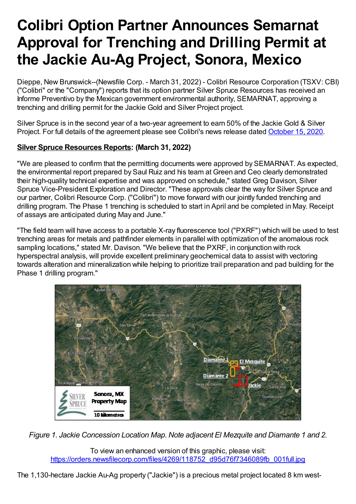# **Colibri Option Partner Announces Semarnat Approval for Trenching and Drilling Permit at the Jackie Au-Ag Project, Sonora, Mexico**

Dieppe, New Brunswick--(Newsfile Corp. - March 31, 2022) - Colibri Resource Corporation (TSXV: CBI) ("Colibri" or the "Company") reports that its option partner Silver Spruce Resources has received an Informe Preventivo by the Mexican government environmental authority, SEMARNAT, approving a trenching and drilling permit for the Jackie Gold and Silver Project project.

Silver Spruce is in the second year of a two-year agreement to earn 50% of the Jackie Gold & Silver Project. For full details of the agreement please see Colibri's news release dated October 15, 2020.

## **Silver Spruce Resources Reports: (March 31, 2022)**

"We are pleased to confirm that the permitting documents were approved by SEMARNAT. As expected, the environmental report prepared by Saul Ruiz and his team at Green and Ceo clearly demonstrated their high-quality technical expertise and was approved on schedule," stated Greg Davison, Silver Spruce Vice-President Exploration and Director. "These approvals clear the way for Silver Spruce and our partner, Colibri Resource Corp. ("Colibri") to move forward with our jointly funded trenching and drilling program. The Phase 1 trenching is scheduled to start in April and be completed in May. Receipt of assays are anticipated during May and June."

"The field team will have access to a portable X-ray fluorescence tool ("PXRF") which will be used to test trenching areas for metals and pathfinder elements in parallel with optimization of the anomalous rock sampling locations," stated Mr. Davison. "We believe that the PXRF, in conjunction with rock hyperspectral analysis, will provide excellent preliminary geochemical data to assist with vectoring towards alteration and mineralization while helping to prioritize trail preparation and pad building for the Phase 1 drilling program."



*Figure 1. Jackie Concession Location Map. Note adjacent El Mezquite and Diamante 1 and 2.*

To view an enhanced version of this graphic, please visit: https://orders.newsfilecorp.com/files/4269/118752\_d95d76f7346089fb\_001full.jpg

The 1,130-hectare Jackie Au-Ag property ("Jackie") is a precious metal project located 8 km west-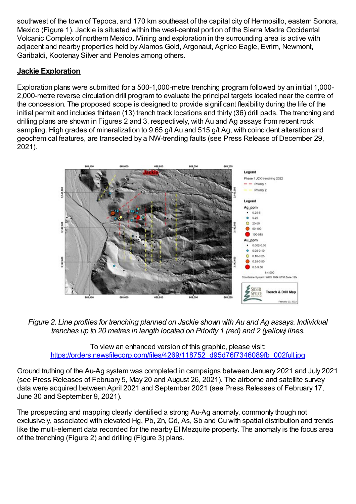southwest of the town of Tepoca, and 170 km southeast of the capital city of Hermosillo, eastern Sonora, Mexico (Figure 1). Jackie is situated within the west-central portion of the Sierra Madre Occidental Volcanic Complex of northern Mexico. Mining and exploration in the surrounding area is active with adjacent and nearby properties held by Alamos Gold, Argonaut, Agnico Eagle, Evrim, Newmont, Garibaldi, Kootenay Silver and Penoles among others.

### **Jackie Exploration**

Exploration plans were submitted for a 500-1,000-metre trenching program followed by an initial 1,000- 2,000-metre reverse circulation drill program to evaluate the principal targets located near the centre of the concession. The proposed scope is designed to provide significant flexibility during the life of the initial permit and includes thirteen (13) trench track locations and thirty (36) drill pads. The trenching and drilling plans are shown in Figures 2 and 3, respectively, with Au and Ag assays from recent rock sampling. High grades of mineralization to 9.65 g/t Au and 515 g/t Ag, with coincident alteration and geochemical features, are transected by a NW-trending faults (see Press Release of December 29, 2021).



*Figure 2. Line profiles for trenching planned on Jackie shown with Au and Ag assays. Individual trenches up to 20 metres in length located on Priority 1 (red) and 2 (yellow) lines.*

To view an enhanced version of this graphic, please visit: https://orders.newsfilecorp.com/files/4269/118752\_d95d76f7346089fb\_002full.jpg

Ground truthing of the Au-Ag system was completed in campaigns between January 2021 and July 2021 (see Press Releases of February 5, May 20 and August 26, 2021). The airborne and satellite survey data were acquired between April 2021 and September 2021 (see Press Releases of February 17, June 30 and September 9, 2021).

The prospecting and mapping clearly identified a strong Au-Ag anomaly, commonly though not exclusively, associated with elevated Hg, Pb, Zn, Cd, As, Sb and Cu with spatial distribution and trends like the multi-element data recorded for the nearby El Mezquite property. The anomaly is the focus area of the trenching (Figure 2) and drilling (Figure 3) plans.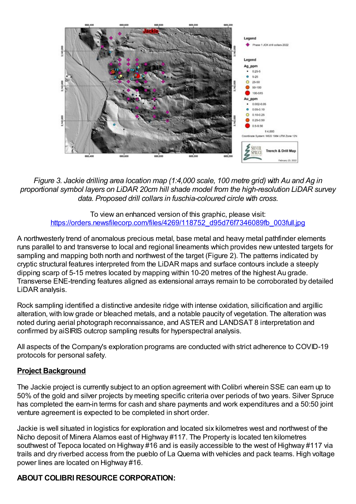

*Figure 3. Jackie drilling area location map (1:4,000 scale, 100 metre grid) with Au and Ag in proportional symbol layers on LiDAR 20cm hill shade model from the high-resolution LiDAR survey data. Proposed drill collars in fuschia-coloured circle with cross.*

To view an enhanced version of this graphic, please visit: https://orders.newsfilecorp.com/files/4269/118752\_d95d76f7346089fb\_003full.jpg

A northwesterly trend of anomalous precious metal, base metal and heavy metal pathfinder elements runs parallel to and transverse to local and regional lineaments which provides new untested targets for sampling and mapping both north and northwest of the target (Figure 2). The patterns indicated by cryptic structural features interpreted from the LiDAR maps and surface contours include a steeply dipping scarp of 5-15 metres located by mapping within 10-20 metres of the highest Au grade. Transverse ENE-trending features aligned as extensional arrays remain to be corroborated by detailed LiDAR analysis.

Rock sampling identified a distinctive andesite ridge with intense oxidation, silicification and argillic alteration, with low grade or bleached metals, and a notable paucity of vegetation. The alteration was noted during aerial photograph reconnaissance, and ASTER and LANDSAT 8 interpretation and confirmed by aiSIRIS outcrop sampling results for hyperspectral analysis.

All aspects of the Company's exploration programs are conducted with strict adherence to COVID-19 protocols for personal safety.

#### **Project Background**

The Jackie project is currently subject to an option agreement with Colibri wherein SSE can earn up to 50% of the gold and silver projects by meeting specific criteria over periods of two years. Silver Spruce has completed the earn-in terms for cash and share payments and work expenditures and a 50:50 joint venture agreement is expected to be completed in short order.

Jackie is well situated in logistics for exploration and located six kilometres west and northwest of the Nicho deposit of Minera Alamos east of Highway #117. The Property is located ten kilometres southwest of Tepoca located on Highway #16 and is easily accessible to the west of Highway #117 via trails and dry riverbed access from the pueblo of La Quema with vehicles and pack teams. High voltage power lines are located on Highway #16.

## **ABOUT COLIBRI RESOURCE CORPORATION:**